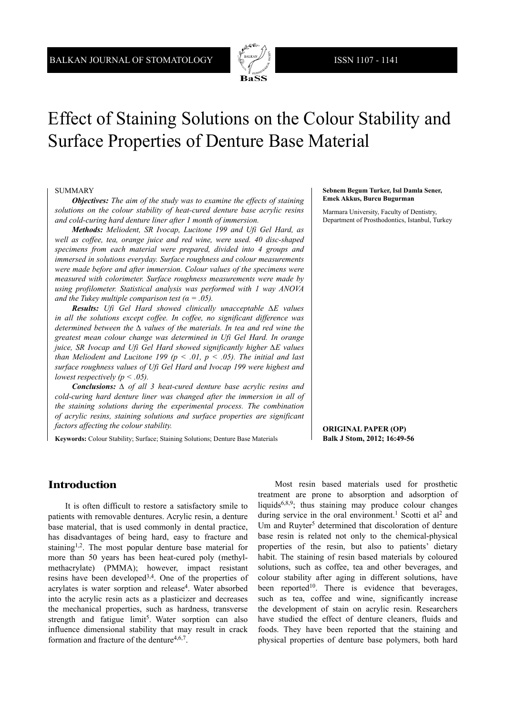

# Effect of Staining Solutions on the Colour Stability and Surface Properties of Denture Base Material

#### SUMMARY

*Objectives: The aim of the study was to examine the effects of staining solutions on the colour stability of heat-cured denture base acrylic resins and cold-curing hard denture liner after 1 month of immersion.*

*Methods: Meliodent, SR Ivocap, Lucitone 199 and Ufi Gel Hard, as well as coffee, tea, orange juice and red wine, were used. 40 disc-shaped specimens from each material were prepared, divided into 4 groups and immersed in solutions everyday. Surface roughness and colour measurements were made before and after immersion. Colour values of the specimens were measured with colorimeter. Surface roughness measurements were made by using profilometer. Statistical analysis was performed with 1 way ANOVA and the Tukey multiple comparison test (* $\alpha$  *= .05).* 

*Results: Ufi Gel Hard showed clinically unacceptable ∆Ε values in all the solutions except coffee. In coffee, no significant difference was determined between the ∆ values of the materials. In tea and red wine the greatest mean colour change was determined in Ufi Gel Hard. In orange juice, SR Ivocap and Ufi Gel Hard showed significantly higher ∆Ε values than Meliodent and Lucitone 199 (* $p \le 0.01$ *,*  $p \le 0.05$ *). The initial and last surface roughness values of Ufi Gel Hard and Ivocap 199 were highest and lowest respectively (p < .05).*

*Conclusions: ∆ of all 3 heat-cured denture base acrylic resins and cold-curing hard denture liner was changed after the immersion in all of the staining solutions during the experimental process. The combination of acrylic resins, staining solutions and surface properties are significant factors affecting the colour stability.*

**Keywords:** Colour Stability; Surface; Staining Solutions; Denture Base Materials

#### **Sebnem Begum Turker, Isıl Damla Sener, Emek Akkus, Burcu Bugurman**

Marmara University, Faculty of Dentistry, Department of Prosthodontics, Istanbul, Turkey

**ORIGINAL PAPER (OP) Balk J Stom, 2012; 16:49-56**

#### **Introduction**

It is often difficult to restore a satisfactory smile to patients with removable dentures. Acrylic resin, a denture base material, that is used commonly in dental practice, has disadvantages of being hard, easy to fracture and staining<sup>1,2</sup>. The most popular denture base material for more than 50 years has been heat-cured poly (methylmethacrylate) (PMMA); however, impact resistant resins have been developed3,4. One of the properties of acrylates is water sorption and release4. Water absorbed into the acrylic resin acts as a plasticizer and decreases the mechanical properties, such as hardness, transverse strength and fatigue limit<sup>5</sup>. Water sorption can also influence dimensional stability that may result in crack formation and fracture of the denture<sup>4,6,7</sup>.

Most resin based materials used for prosthetic treatment are prone to absorption and adsorption of liquids<sup>6,8,9</sup>; thus staining may produce colour changes during service in the oral environment.<sup>1</sup> Scotti et al<sup>2</sup> and Um and Ruyter<sup>5</sup> determined that discoloration of denture base resin is related not only to the chemical-physical properties of the resin, but also to patients' dietary habit. The staining of resin based materials by coloured solutions, such as coffee, tea and other beverages, and colour stability after aging in different solutions, have been reported<sup>10</sup>. There is evidence that beverages, such as tea, coffee and wine, significantly increase the development of stain on acrylic resin. Researchers have studied the effect of denture cleaners, fluids and foods. They have been reported that the staining and physical properties of denture base polymers, both hard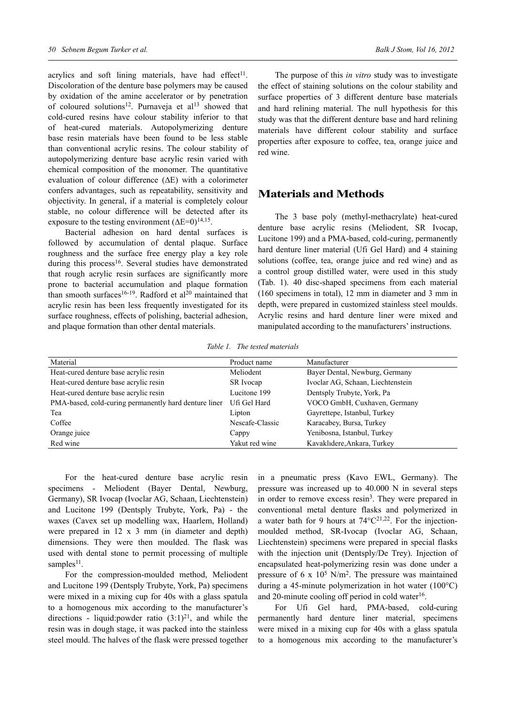acrylics and soft lining materials, have had effect<sup>11</sup>. Discoloration of the denture base polymers may be caused by oxidation of the amine accelerator or by penetration of coloured solutions<sup>12</sup>. Purnaveja et al<sup>13</sup> showed that cold-cured resins have colour stability inferior to that of heat-cured materials. Autopolymerizing denture base resin materials have been found to be less stable than conventional acrylic resins. The colour stability of autopolymerizing denture base acrylic resin varied with chemical composition of the monomer. The quantitative evaluation of colour difference (∆Ε) with a colorimeter confers advantages, such as repeatability, sensitivity and objectivity. In general, if a material is completely colour stable, no colour difference will be detected after its exposure to the testing environment  $(\Delta E=0)^{14,15}$ .

Bacterial adhesion on hard dental surfaces is followed by accumulation of dental plaque. Surface roughness and the surface free energy play a key role during this process<sup>16</sup>. Several studies have demonstrated that rough acrylic resin surfaces are significantly more prone to bacterial accumulation and plaque formation than smooth surfaces<sup>16-19</sup>. Radford et al<sup>20</sup> maintained that acrylic resin has been less frequently investigated for its surface roughness, effects of polishing, bacterial adhesion, and plaque formation than other dental materials.

The purpose of this *in vitro* study was to investigate the effect of staining solutions on the colour stability and surface properties of 3 different denture base materials and hard relining material. The null hypothesis for this study was that the different denture base and hard relining materials have different colour stability and surface properties after exposure to coffee, tea, orange juice and red wine.

### **Materials and Methods**

The 3 base poly (methyl-methacrylate) heat-cured denture base acrylic resins (Meliodent, SR Ivocap, Lucitone 199) and a PMA-based, cold-curing, permanently hard denture liner material (Ufi Gel Hard) and 4 staining solutions (coffee, tea, orange juice and red wine) and as a control group distilled water, were used in this study (Tab. 1). 40 disc-shaped specimens from each material (160 specimens in total), 12 mm in diameter and 3 mm in depth, were prepared in customized stainless steel moulds. Acrylic resins and hard denture liner were mixed and manipulated according to the manufacturers' instructions.

*Table 1. The tested materials*

| Material                                              | Product name    | Manufacturer                      |
|-------------------------------------------------------|-----------------|-----------------------------------|
| Heat-cured denture base acrylic resin                 | Meliodent       | Bayer Dental, Newburg, Germany    |
| Heat-cured denture base acrylic resin                 | SR Ivocap       | Ivoclar AG, Schaan, Liechtenstein |
| Heat-cured denture base acrylic resin                 | Lucitone 199    | Dentsply Trubyte, York, Pa        |
| PMA-based, cold-curing permanently hard denture liner | Ufi Gel Hard    | VOCO GmbH, Cuxhaven, Germany      |
| Tea                                                   | Lipton          | Gayrettepe, Istanbul, Turkey      |
| Coffee                                                | Nescafe-Classic | Karacabey, Bursa, Turkey          |
| Orange juice                                          | Cappy           | Yenibosna, Istanbul, Turkey       |
| Red wine                                              | Yakut red wine  | Kavaklıdere, Ankara, Turkey       |

For the heat-cured denture base acrylic resin specimens - Meliodent (Bayer Dental, Newburg, Germany), SR Ivocap (Ivoclar AG, Schaan, Liechtenstein) and Lucitone 199 (Dentsply Trubyte, York, Pa) - the waxes (Cavex set up modelling wax, Haarlem, Holland) were prepared in 12 x 3 mm (in diameter and depth) dimensions. They were then moulded. The flask was used with dental stone to permit processing of multiple samples<sup>11</sup>.

For the compression-moulded method, Meliodent and Lucitone 199 (Dentsply Trubyte, York, Pa) specimens were mixed in a mixing cup for 40s with a glass spatula to a homogenous mix according to the manufacturer's directions - liquid: powder ratio  $(3:1)^{21}$ , and while the resin was in dough stage, it was packed into the stainless steel mould. The halves of the flask were pressed together

in a pneumatic press (Kavo EWL, Germany). The pressure was increased up to 40.000 N in several steps in order to remove excess resin<sup>3</sup>. They were prepared in conventional metal denture flasks and polymerized in a water bath for 9 hours at  $74^{\circ}C^{21,22}$ . For the injectionmoulded method, SR-Ivocap (Ivoclar AG, Schaan, Liechtenstein) specimens were prepared in special flasks with the injection unit (Dentsply/De Trey). Injection of encapsulated heat-polymerizing resin was done under a pressure of 6 x  $10^5$  N/m<sup>2</sup>. The pressure was maintained during a 45-minute polymerization in hot water (100°C) and 20-minute cooling off period in cold water $16$ .

For Ufi Gel hard, PMA-based, cold-curing permanently hard denture liner material, specimens were mixed in a mixing cup for 40s with a glass spatula to a homogenous mix according to the manufacturer's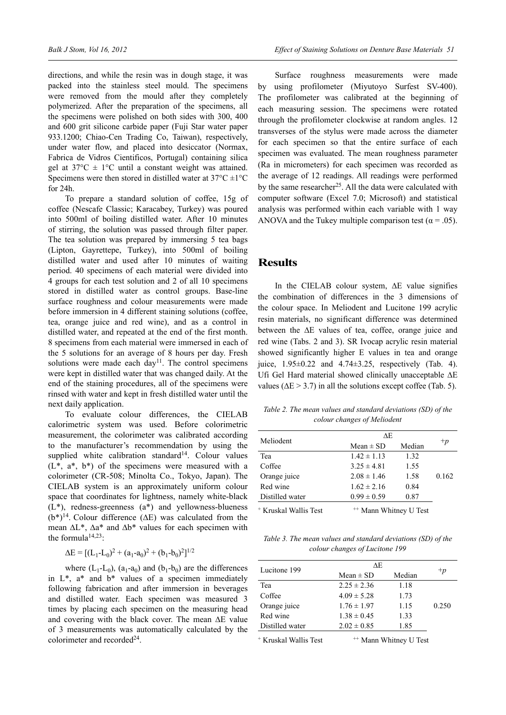directions, and while the resin was in dough stage, it was packed into the stainless steel mould. The specimens were removed from the mould after they completely polymerized. After the preparation of the specimens, all the specimens were polished on both sides with 300, 400 and 600 grit silicone carbide paper (Fuji Star water paper 933.1200; Chiao-Cen Trading Co, Taiwan), respectively, under water flow, and placed into desiccator (Normax, Fabrica de Vidros Cientificos, Portugal) containing silica gel at  $37^{\circ}$ C  $\pm$  1°C until a constant weight was attained. Specimens were then stored in distilled water at  $37^{\circ}$ C  $\pm$ 1°C for 24h.

To prepare a standard solution of coffee, 15g of coffee (Nescafe Classic; Karacabey, Turkey) was poured into 500ml of boiling distilled water. After 10 minutes of stirring, the solution was passed through filter paper. The tea solution was prepared by immersing 5 tea bags (Lipton, Gayrettepe, Turkey), into 500ml of boiling distilled water and used after 10 minutes of waiting period. 40 specimens of each material were divided into 4 groups for each test solution and 2 of all 10 specimens stored in distilled water as control groups. Base-line surface roughness and colour measurements were made before immersion in 4 different staining solutions (coffee, tea, orange juice and red wine), and as a control in distilled water, and repeated at the end of the first month. 8 specimens from each material were immersed in each of the 5 solutions for an average of 8 hours per day. Fresh solutions were made each day<sup>11</sup>. The control specimens were kept in distilled water that was changed daily. At the end of the staining procedures, all of the specimens were rinsed with water and kept in fresh distilled water until the next daily application.

To evaluate colour differences, the CIELAB calorimetric system was used. Before colorimetric measurement, the colorimeter was calibrated according to the manufacturer's recommendation by using the supplied white calibration standard<sup>14</sup>. Colour values  $(L^*, a^*, b^*)$  of the specimens were measured with a colorimeter (CR-508; Minolta Co., Tokyo, Japan). The CIELAB system is an approximately uniform colour space that coordinates for lightness, namely white-black  $(L^*)$ , redness-greenness  $(a^*)$  and yellowness-blueness (b\*)14. Colour difference (∆Ε) was calculated from the mean ∆L\*, ∆a\* and ∆b\* values for each specimen with the formula<sup> $14,23$ </sup>:

$$
\Delta E = [(L_1 - L_0)^2 + (a_1 - a_0)^2 + (b_1 - b_0)^2]^{1/2}
$$

where  $(L_1-L_0)$ ,  $(a_1-a_0)$  and  $(b_1-b_0)$  are the differences in  $L^*$ ,  $a^*$  and  $b^*$  values of a specimen immediately following fabrication and after immersion in beverages and distilled water. Each specimen was measured 3 times by placing each specimen on the measuring head and covering with the black cover. The mean ∆Ε value of 3 measurements was automatically calculated by the colorimeter and recorded<sup>24</sup>.

Surface roughness measurements were made by using profilometer (Miyutoyo Surfest SV-400). The profilometer was calibrated at the beginning of each measuring session. The specimens were rotated through the profilometer clockwise at random angles. 12 transverses of the stylus were made across the diameter for each specimen so that the entire surface of each specimen was evaluated. The mean roughness parameter (Ra in micrometers) for each specimen was recorded as the average of 12 readings. All readings were performed by the same researcher<sup>25</sup>. All the data were calculated with computer software (Excel 7.0; Microsoft) and statistical analysis was performed within each variable with 1 way ANOVA and the Tukey multiple comparison test ( $\alpha$  = .05).

# **Results**

In the CIELAB colour system, ∆E value signifies the combination of differences in the 3 dimensions of the colour space. In Meliodent and Lucitone 199 acrylic resin materials, no significant difference was determined between the ∆Ε values of tea, coffee, orange juice and red wine (Tabs. 2 and 3). SR Ivocap acrylic resin material showed significantly higher E values in tea and orange juice, 1.95±0.22 and 4.74±3.25, respectively (Tab. 4). Ufi Gel Hard material showed clinically unacceptable ∆Ε values ( $\Delta E > 3.7$ ) in all the solutions except coffee (Tab. 5).

*Table 2. The mean values and standard deviations (SD) of the colour changes of Meliodent*

| Meliodent                        | ΛE                                |        |       |
|----------------------------------|-----------------------------------|--------|-------|
|                                  | Mean $\pm$ SD                     | Median | $+p$  |
| Tea                              | $1.42 \pm 1.13$                   | 1.32   |       |
| Coffee                           | $3.25 \pm 4.81$                   | 1.55   |       |
| Orange juice                     | $2.08 \pm 1.46$                   | 1.58   | 0.162 |
| Red wine                         | $1.62 \pm 2.16$                   | 0.84   |       |
| Distilled water                  | $0.99 \pm 0.59$                   | 0.87   |       |
| <sup>+</sup> Kruskal Wallis Test | <sup>++</sup> Mann Whitney U Test |        |       |

*Table 3. The mean values and standard deviations (SD) of the colour changes of Lucitone 199* 

| Lucitone 199                     | ΔE              |                                   |       |  |
|----------------------------------|-----------------|-----------------------------------|-------|--|
|                                  | Mean $\pm$ SD   | Median                            | $+p$  |  |
| Tea                              | $2.25 \pm 2.36$ | 1.18                              |       |  |
| Coffee                           | $4.09 \pm 5.28$ | 1.73                              |       |  |
| Orange juice                     | $1.76 \pm 1.97$ | 1.15                              | 0.250 |  |
| Red wine                         | $1.38 \pm 0.45$ | 1.33                              |       |  |
| Distilled water                  | $2.02 \pm 0.85$ | 1.85                              |       |  |
| <sup>+</sup> Kruskal Wallis Test |                 | <sup>++</sup> Mann Whitney U Test |       |  |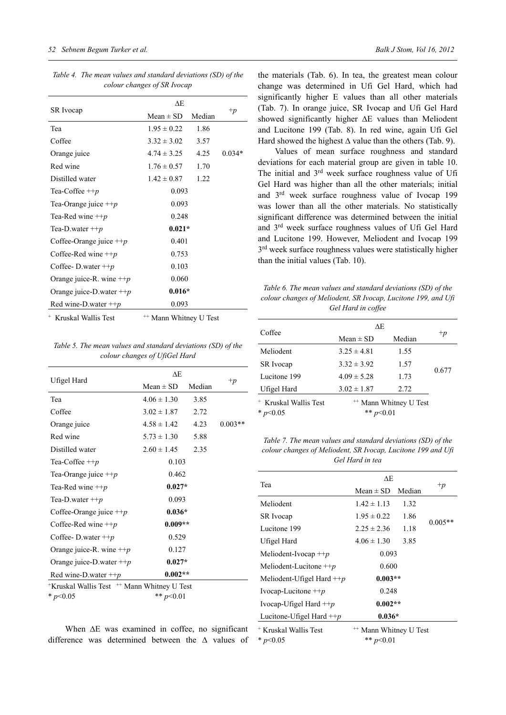|                                  | ΔE                                |        |          |
|----------------------------------|-----------------------------------|--------|----------|
| <b>SR</b> Ivocap                 | Mean $\pm$ SD                     | Median | $+p$     |
| Tea                              | $1.95 \pm 0.22$                   | 1.86   |          |
| Coffee                           | $3.32 \pm 3.02$                   | 3.57   |          |
| Orange juice                     | $4.74 \pm 3.25$                   | 4.25   | $0.034*$ |
| Red wine                         | $1.76 \pm 0.57$                   | 1.70   |          |
| Distilled water                  | $1.42 \pm 0.87$                   | 1.22   |          |
| Tea-Coffee $\pm +p$              | 0.093                             |        |          |
| Tea-Orange juice $\pm \pm p$     | 0.093                             |        |          |
| Tea-Red wine $\pm p$             | 0.248                             |        |          |
| Tea-D.water $+$ + $p$            | $0.021*$                          |        |          |
| Coffee-Orange juice $+p$         | 0.401                             |        |          |
| Coffee-Red wine $\pm p$          | 0.753                             |        |          |
| Coffee-D.water $\pm p$           | 0.103                             |        |          |
| Orange juice-R. wine $+p$        | 0.060                             |        |          |
| Orange juice-D water $+p$        | $0.016*$                          |        |          |
| Red wine-D water $\pm p$         | 0.093                             |        |          |
| <sup>+</sup> Kruskal Wallis Test | <sup>++</sup> Mann Whitney U Test |        |          |

*Table 4. The mean values and standard deviations (SD) of the colour changes of SR Ivocap*

*Table 5. The mean values and standard deviations (SD) of the colour changes of UfiGel Hard*

|                                             | ΔE              |        |           |
|---------------------------------------------|-----------------|--------|-----------|
| Ufigel Hard                                 | $Mean \pm SD$   | Median | $+p$      |
| Tea                                         | $4.06 \pm 1.30$ | 3.85   |           |
| Coffee                                      | $3.02 \pm 1.87$ | 2.72   |           |
| Orange juice                                | $4.58 \pm 1.42$ | 4.23   | $0.003**$ |
| Red wine                                    | $5.73 \pm 1.30$ | 5.88   |           |
| Distilled water                             | $2.60 \pm 1.45$ | 2.35   |           |
| Tea-Coffee $\pm +p$                         | 0.103           |        |           |
| Tea-Orange juice $+p$                       | 0.462           |        |           |
| Tea-Red wine $\pm p$                        | $0.027*$        |        |           |
| Tea-D water $+p$                            | 0.093           |        |           |
| Coffee-Orange juice $+p$                    | $0.036*$        |        |           |
| Coffee-Red wine $\pm p$                     | $0.009**$       |        |           |
| Coffee-D.water $\pm p$                      | 0.529           |        |           |
| Orange juice-R. wine $+p$                   | 0.127           |        |           |
| Orange juice-D water $+p$                   | $0.027*$        |        |           |
| Red wine-D water $\pm p$                    | $0.002**$       |        |           |
| *Kruskal Wallis Test ** Mann Whitney U Test |                 |        |           |

\* *p*<0.05 \*\* *p*<0.01

When ∆E was examined in coffee, no significant difference was determined between the ∆ values of

the materials (Tab. 6). In tea, the greatest mean colour change was determined in Ufi Gel Hard, which had significantly higher Ε values than all other materials (Tab. 7). In orange juice, SR Ivocap and Ufi Gel Hard showed significantly higher ∆Ε values than Meliodent and Lucitone 199 (Tab. 8). In red wine, again Ufi Gel Hard showed the highest  $\Delta$  value than the others (Tab. 9).

Values of mean surface roughness and standard deviations for each material group are given in table 10. The initial and 3rd week surface roughness value of Ufi Gel Hard was higher than all the other materials; initial and 3rd week surface roughness value of Ivocap 199 was lower than all the other materials. No statistically significant difference was determined between the initial and 3rd week surface roughness values of Ufi Gel Hard and Lucitone 199. However, Meliodent and Ivocap 199 3<sup>rd</sup> week surface roughness values were statistically higher than the initial values (Tab. 10).

| Table 6. The mean values and standard deviations (SD) of the  |
|---------------------------------------------------------------|
| colour changes of Meliodent, SR Ivocap, Lucitone 199, and Uft |
| Gel Hard in coffee                                            |

|                                  | ΔE              |                                   |       |
|----------------------------------|-----------------|-----------------------------------|-------|
| Coffee                           | Mean $\pm$ SD   | Median                            | $+p$  |
| Meliodent                        | $3.25 \pm 4.81$ | 1.55                              |       |
| <b>SR</b> Ivocap                 | $3.32 \pm 3.92$ | 1.57                              |       |
| Lucitone 199                     | $4.09 \pm 5.28$ | 1.73                              | 0.677 |
| Ufigel Hard                      | $3.02 \pm 1.87$ | 2.72                              |       |
| <sup>+</sup> Kruskal Wallis Test |                 | <sup>++</sup> Mann Whitney U Test |       |
| * $p<0.05$                       | ** $n$ <        |                                   |       |

*Table 7. The mean values and standard deviations (SD) of the colour changes of Meliodent, SR Ivocap, Lucitone 199 and Ufi Gel Hard in tea*

|                                  | ΔE                                |        |           |
|----------------------------------|-----------------------------------|--------|-----------|
| Tea                              | Mean $\pm$ SD                     | Median | $+p$      |
| Meliodent                        | $1.42 \pm 1.13$                   | 1.32   |           |
| <b>SR</b> Ivocap                 | $1.95 \pm 0.22$                   | 1.86   | $0.005**$ |
| Lucitone 199                     | $2.25 \pm 2.36$                   | 1.18   |           |
| Ufigel Hard                      | $4.06 \pm 1.30$                   | 3.85   |           |
| Meliodent-Ivocap $\pm p$         | 0.093                             |        |           |
| Meliodent-Lucitone $\pm p$       | 0.600                             |        |           |
| Meliodent-Ufigel Hard $+p$       | $0.003**$                         |        |           |
| Ivocap-Lucitone $\pm \pm p$      | 0.248                             |        |           |
| Ivocap-Ufigel Hard $\pm p$       | $0.002**$                         |        |           |
| Lucitone-Ufigel Hard $+p$        | $0.036*$                          |        |           |
| <sup>+</sup> Kruskal Wallis Test | <sup>++</sup> Mann Whitney U Test |        |           |
| * $p<0.05$                       | ** $p<0.01$                       |        |           |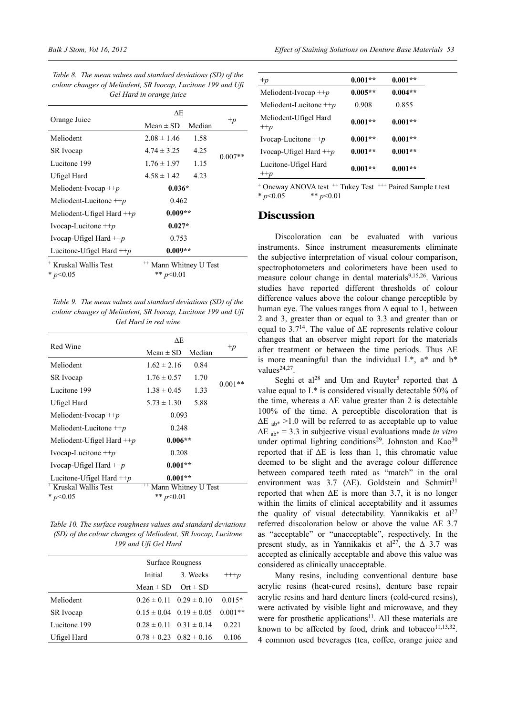|                                  | ΔE                                |        |           |
|----------------------------------|-----------------------------------|--------|-----------|
| Orange Juice                     | Mean $\pm$ SD                     | Median | $+p$      |
| Meliodent                        | $2.08 \pm 1.46$                   | 1.58   |           |
| <b>SR</b> Ivocap                 | $4.74 \pm 3.25$                   | 4.25   | $0.007**$ |
| Lucitone 199                     | $1.76 \pm 1.97$                   | 1.15   |           |
| Ufigel Hard                      | $4.58 \pm 1.42$                   | 4.23   |           |
| Meliodent-Ivocap $\pm p$         | $0.036*$                          |        |           |
| Meliodent-Lucitone $\pm p$       | 0.462                             |        |           |
| Meliodent-Ufigel Hard $+p$       | $0.009**$                         |        |           |
| Ivocap-Lucitone $\pm \pm p$      | $0.027*$                          |        |           |
| Ivocap-Ufigel Hard $+p$          | 0.753                             |        |           |
| Lucitone-Ufigel Hard $+p$        | $0.009**$                         |        |           |
| <sup>+</sup> Kruskal Wallis Test | <sup>++</sup> Mann Whitney U Test |        |           |
| * $p<0.05$                       | ** $p<0.01$                       |        |           |

*Table 9. The mean values and standard deviations (SD) of the colour changes of Meliodent, SR Ivocap, Lucitone 199 and Ufi Gel Hard in red wine*

|                                  | ΔE                  |        |           |
|----------------------------------|---------------------|--------|-----------|
| Red Wine                         | Mean $\pm$ SD       | Median | $+p$      |
| Meliodent                        | $1.62 \pm 2.16$     | 0.84   |           |
| SR Ivocap                        | $1.76 \pm 0.57$     | 1.70   |           |
| Lucitone 199                     | $1.38 \pm 0.45$     | 1.33   | $0.001**$ |
| Ufigel Hard                      | $5.73 \pm 1.30$     | 5.88   |           |
| Meliodent-Ivocap $\pm p$         | 0.093               |        |           |
| Meliodent-Lucitone $\pm p$       | 0.248               |        |           |
| Meliodent-Ufigel Hard $\pm p$    | $0.006**$           |        |           |
| Ivocap-Lucitone $+p$             | 0.208               |        |           |
| Ivocap-Ufigel Hard $+p$          | $0.001**$           |        |           |
| Lucitone-Ufigel Hard $+p$        | $0.001**$           |        |           |
| <sup>+</sup> Kruskal Wallis Test | Mann Whitney U Test |        |           |
| * $p<0.05$                       | ** $p<0.01$         |        |           |

*Table 10. The surface roughness values and standard deviations (SD) of the colour changes of Meliodent, SR Ivocap, Lucitone 199 and Ufi Gel Hard*

|              |               | Surface Rougness                |           |
|--------------|---------------|---------------------------------|-----------|
|              | Initial       | 3. Weeks                        | $^{+++p}$ |
|              | Mean $\pm$ SD | $Ort \pm SD$                    |           |
| Meliodent    |               | $0.26 \pm 0.11$ $0.29 \pm 0.10$ | $0.015*$  |
| SR Ivocap    |               | $0.15 \pm 0.04$ $0.19 \pm 0.05$ | $0.001**$ |
| Lucitone 199 |               | $0.28 \pm 0.11$ $0.31 \pm 0.14$ | 0.221     |
| Ufigel Hard  |               | $0.78 \pm 0.23$ $0.82 \pm 0.16$ | 0.106     |

| $+p$                          | $0.001**$ | $0.001**$ |
|-------------------------------|-----------|-----------|
| Meliodent-Ivocap $\pm \pm p$  | $0.005**$ | $0.004**$ |
| Meliodent-Lucitone $\pm p$    | 0.908     | 0.855     |
| Meliodent-Ufigel Hard<br>$+p$ | $0.001**$ | $0.001**$ |
| Ivocap-Lucitone $\pm +p$      | $0.001**$ | $0.001**$ |
| Ivocap-Ufigel Hard $+p$       | $0.001**$ | $0.001**$ |
| Lucitone-Ufigel Hard<br>$+p$  | $0.001**$ | $0.001**$ |

+ Oneway ANOVA test <sup>++</sup> Tukey Test <sup>+++</sup> Paired Sample t test \* *p*<0.05 \*\* *p*<0.01

#### **Discussion**

Discoloration can be evaluated with various instruments. Since instrument measurements eliminate the subjective interpretation of visual colour comparison, spectrophotometers and colorimeters have been used to measure colour change in dental materials<sup>9,15,26</sup>. Various studies have reported different thresholds of colour difference values above the colour change perceptible by human eye. The values ranges from  $\Delta$  equal to 1, between 2 and 3, greater than or equal to 3.3 and greater than or equal to 3.714. The value of ∆Ε represents relative colour changes that an observer might report for the materials after treatment or between the time periods. Thus ∆Ε is more meaningful than the individual  $L^*$ ,  $a^*$  and  $b^*$ values $24,27$ .

Seghi et al<sup>28</sup> and Um and Ruyter<sup>5</sup> reported that  $\Delta$ value equal to  $L^*$  is considered visually detectable 50% of the time, whereas a  $\Delta E$  value greater than 2 is detectable 100% of the time. A perceptible discoloration that is  $\Delta E$ <sub>ab\*</sub> >1.0 will be referred to as acceptable up to value ∆Ε ab\* = 3.3 in subjective visual evaluations made *in vitro* under optimal lighting conditions<sup>29</sup>. Johnston and Kao<sup>30</sup> reported that if ∆E is less than 1, this chromatic value deemed to be slight and the average colour difference between compared teeth rated as "match" in the oral environment was 3.7 ( $\Delta E$ ). Goldstein and Schmitt<sup>31</sup> reported that when ∆E is more than 3.7, it is no longer within the limits of clinical acceptability and it assumes the quality of visual detectability. Yannikakis et  $al<sup>27</sup>$ referred discoloration below or above the value ∆Ε 3.7 as "acceptable" or "unacceptable", respectively. In the present study, as in Yannikakis et al<sup>27</sup>, the  $\Delta$  3.7 was accepted as clinically acceptable and above this value was considered as clinically unacceptable.

Many resins, including conventional denture base acrylic resins (heat-cured resins), denture base repair acrylic resins and hard denture liners (cold-cured resins), were activated by visible light and microwave, and they were for prosthetic applications<sup>11</sup>. All these materials are known to be affected by food, drink and tobacco $^{11,13,32}$ . 4 common used beverages (tea, coffee, orange juice and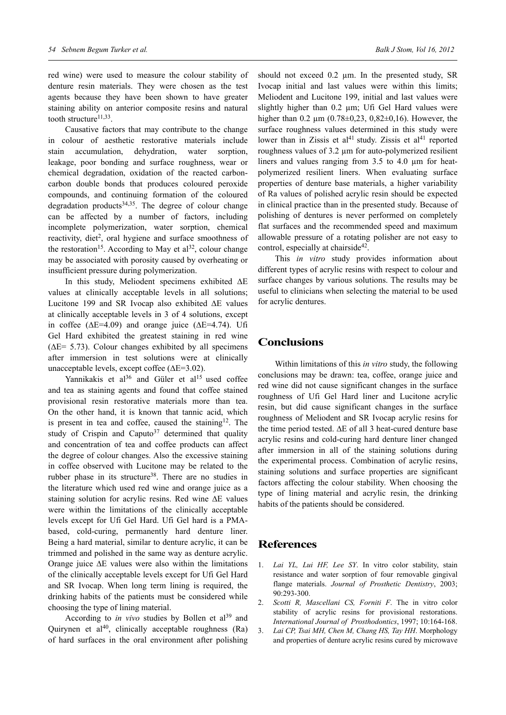red wine) were used to measure the colour stability of denture resin materials. They were chosen as the test agents because they have been shown to have greater staining ability on anterior composite resins and natural tooth structure<sup>11,33</sup>.

Causative factors that may contribute to the change in colour of aesthetic restorative materials include stain accumulation, dehydration, water sorption, leakage, poor bonding and surface roughness, wear or chemical degradation, oxidation of the reacted carboncarbon double bonds that produces coloured peroxide compounds, and continuing formation of the coloured degradation products $34,35$ . The degree of colour change can be affected by a number of factors, including incomplete polymerization, water sorption, chemical reactivity, diet<sup>2</sup>, oral hygiene and surface smoothness of the restoration<sup>15</sup>. According to May et al<sup>32</sup>, colour change may be associated with porosity caused by overheating or insufficient pressure during polymerization.

In this study, Meliodent specimens exhibited ∆E values at clinically acceptable levels in all solutions; Lucitone 199 and SR Ivocap also exhibited ∆E values at clinically acceptable levels in 3 of 4 solutions, except in coffee ( $\Delta E = 4.09$ ) and orange juice ( $\Delta E = 4.74$ ). Ufi Gel Hard exhibited the greatest staining in red wine  $(ΔE= 5.73)$ . Colour changes exhibited by all specimens after immersion in test solutions were at clinically unacceptable levels, except coffee (∆Ε=3.02).

Yannikakis et al<sup>36</sup> and Güler et al<sup>15</sup> used coffee and tea as staining agents and found that coffee stained provisional resin restorative materials more than tea. On the other hand, it is known that tannic acid, which is present in tea and coffee, caused the staining $12$ . The study of Crispin and Caputo<sup>37</sup> determined that quality and concentration of tea and coffee products can affect the degree of colour changes. Also the excessive staining in coffee observed with Lucitone may be related to the rubber phase in its structure<sup>38</sup>. There are no studies in the literature which used red wine and orange juice as a staining solution for acrylic resins. Red wine ∆E values were within the limitations of the clinically acceptable levels except for Ufi Gel Hard. Ufi Gel hard is a PMAbased, cold-curing, permanently hard denture liner. Being a hard material, similar to denture acrylic, it can be trimmed and polished in the same way as denture acrylic. Orange juice ∆E values were also within the limitations of the clinically acceptable levels except for Ufi Gel Hard and SR Ivocap. When long term lining is required, the drinking habits of the patients must be considered while choosing the type of lining material.

According to *in vivo* studies by Bollen et al<sup>39</sup> and Quirynen et al<sup>40</sup>, clinically acceptable roughness  $(Ra)$ of hard surfaces in the oral environment after polishing should not exceed 0.2 μm. In the presented study, SR Ivocap initial and last values were within this limits; Meliodent and Lucitone 199, initial and last values were slightly higher than 0.2 μm; Ufi Gel Hard values were higher than  $0.2 \mu m$  (0.78 $\pm$ 0,23, 0,82 $\pm$ 0,16). However, the surface roughness values determined in this study were lower than in Zissis et al<sup>41</sup> study. Zissis et al<sup>41</sup> reported roughness values of 3.2 μm for auto-polymerized resilient liners and values ranging from 3.5 to 4.0 μm for heatpolymerized resilient liners. When evaluating surface properties of denture base materials, a higher variability of Ra values of polished acrylic resin should be expected in clinical practice than in the presented study. Because of polishing of dentures is never performed on completely flat surfaces and the recommended speed and maximum allowable pressure of a rotating polisher are not easy to control, especially at chairside<sup>42</sup>.

This *in vitro* study provides information about different types of acrylic resins with respect to colour and surface changes by various solutions. The results may be useful to clinicians when selecting the material to be used for acrylic dentures.

# **Conclusions**

Within limitations of this *in vitro* study, the following conclusions may be drawn: tea, coffee, orange juice and red wine did not cause significant changes in the surface roughness of Ufi Gel Hard liner and Lucitone acrylic resin, but did cause significant changes in the surface roughness of Meliodent and SR Ivocap acrylic resins for the time period tested. ∆Ε of all 3 heat-cured denture base acrylic resins and cold-curing hard denture liner changed after immersion in all of the staining solutions during the experimental process. Combination of acrylic resins, staining solutions and surface properties are significant factors affecting the colour stability. When choosing the type of lining material and acrylic resin, the drinking habits of the patients should be considered.

#### **References**

- 1. *Lai YL, Lui HF, Lee SY*. In vitro color stability, stain resistance and water sorption of four removable gingival flange materials. *Journal of Prosthetic Dentistry*, 2003; 90:293-300.
- 2. *Scotti R, Mascellani CS, Forniti F*. The in vitro color stability of acrylic resins for provisional restorations. *International Journal of Prosthodontics*, 1997; 10:164-168.
- 3. *Lai CP, Tsai MH, Chen M, Chang HS, Tay HH*. Morphology and properties of denture acrylic resins cured by microwave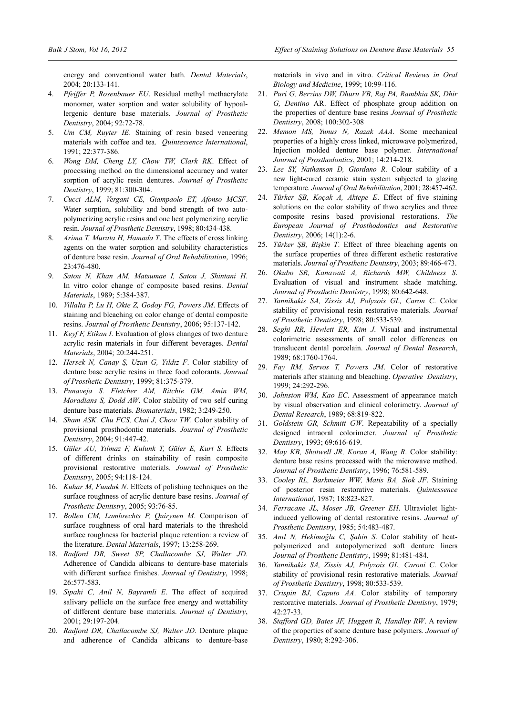energy and conventional water bath. *Dental Materials*, 2004; 20:133-141.

- 4. *Pfeiffer P, Rosenbauer EU*. Residual methyl methacrylate monomer, water sorption and water solubility of hypoallergenic denture base materials. *Journal of Prosthetic Dentistry*, 2004; 92:72-78.
- 5. *Um CM, Ruyter IE*. Staining of resin based veneering materials with coffee and tea. *Quintessence International*, 1991; 22:377-386.
- 6. *Wong DM, Cheng LY, Chow TW, Clark RK*. Effect of processing method on the dimensional accuracy and water sorption of acrylic resin dentures. *Journal of Prosthetic Dentistry*, 1999; 81:300-304.
- 7. *Cucci ALM, Vergani CE, Giampaolo ET, Afonso MCSF*. Water sorption, solubility and bond strength of two autopolymerizing acrylic resins and one heat polymerizing acrylic resin. *Journal of Prosthetic Dentistry*, 1998; 80:434-438.
- 8. *Arima T, Murata H, Hamada T*. The effects of cross linking agents on the water sorption and solubility characteristics of denture base resin. *Journal of Oral Rehabilitation*, 1996; 23:476-480.
- 9. *Satou N, Khan AM, Matsumae I, Satou J, Shintani H*. In vitro color change of composite based resins. *Dental Materials*, 1989; 5:384-387.
- 10. *Villalta P, Lu H, Okte Z, Godoy FG, Powers JM*. Effects of staining and bleaching on color change of dental composite resins. *Journal of Prosthetic Dentistry*, 2006; 95:137-142.
- 11. *Keyf F, Etikan I*. Evaluation of gloss changes of two denture acrylic resin materials in four different beverages. *Dental Materials*, 2004; 20:244-251.
- 12. *Hersek N, Canay Ş, Uzun G, Yıldız F*. Color stability of denture base acrylic resins in three food colorants. *Journal of Prosthetic Dentistry*, 1999; 81:375-379.
- 13. *Punaveja S. Fletcher AM, Ritchie GM, Amin WM, Moradians S, Dodd AW*. Color stability of two self curing denture base materials. *Biomaterials*, 1982; 3:249-250.
- 14. *Sham ASK, Chu FCS, Chai J, Chow TW*. Color stability of provisional prosthodontic materials. *Journal of Prosthetic Dentistry*, 2004; 91:447-42.
- 15. *Güler AU, Yılmaz F, Kulunk T, Güler E, Kurt S*. Effects of different drinks on stainability of resin composite provisional restorative materials. *Journal of Prosthetic Dentistry*, 2005; 94:118-124.
- 16. *Kuhar M, Funduk N*. Effects of polishing techniques on the surface roughness of acrylic denture base resins. *Journal of Prosthetic Dentistry*, 2005; 93:76-85.
- 17. *Bollen CM, Lambrechts P, Quirynen M*. Comparison of surface roughness of oral hard materials to the threshold surface roughness for bacterial plaque retention: a review of the literature. *Dental Materials*, 1997; 13:258-269.
- 18. *Radford DR, Sweet SP, Challacombe SJ, Walter JD*. Adherence of Candida albicans to denture-base materials with different surface finishes. *Journal of Dentistry*, 1998; 26:577-583.
- 19. *Sipahi C, Anil N, Bayramli E*. The effect of acquired salivary pellicle on the surface free energy and wettability of different denture base materials. *Journal of Dentistry*, 2001; 29:197-204.
- 20. *Radford DR, Challacombe SJ, Walter JD*. Denture plaque and adherence of Candida albicans to denture-base

materials in vivo and in vitro. *Critical Reviews in Oral Biology and Medicine*, 1999; 10:99-116.

- 21. *Puri G, Berzins DW, Dhuru VB, Raj PA, Rambhia SK, Dhir G, Dentino* AR. Effect of phosphate group addition on the properties of denture base resins *Journal of Prosthetic Dentistry*, 2008; 100:302-308
- 22. *Memon MS, Yunus N, Razak AAA*. Some mechanical properties of a highly cross linked, microwave polymerized, Injection molded denture base polymer. *International Journal of Prosthodontics*, 2001; 14:214-218.
- 23. *Lee SY, Nathanson D, Giordano R*. Colour stability of a new light-cured ceramic stain system subjected to glazing temperature. *Journal of Oral Rehabilitation*, 2001; 28:457-462.
- 24. *Türker ŞB, Koçak A, Aktepe E*. Effect of five staining solutions on the color stability of thwo acrylics and three composite resins based provisional restorations. *The European Journal of Prosthodontics and Restorative Dentistry*, 2006; 14(1):2-6.
- 25. *Türker ŞB, Bişkin T*. Effect of three bleaching agents on the surface properties of three different esthetic restorative materials. *Journal of Prosthetic Dentistry*, 2003; 89:466-473.
- 26. *Okubo SR, Kanawati A, Richards MW, Childness S*. Evaluation of visual and instrument shade matching. *Journal of Prosthetic Dentistry*, 1998; 80:642-648.
- 27. *Yannikakis SA, Zissis AJ, Polyzois GL, Caron C*. Color stability of provisional resin restorative materials. *Journal of Prosthetic Dentistry*, 1998; 80:533-539.
- 28. *Seghi RR, Hewlett ER, Kim J*. Visual and instrumental colorimetric assessments of small color differences on translucent dental porcelain. *Journal of Dental Research*, 1989; 68:1760-1764.
- 29. *Fay RM, Servos T, Powers JM*. Color of restorative materials after staining and bleaching. *Operative Dentistry*, 1999; 24:292-296.
- 30. *Johnston WM, Kao EC*. Assessment of appearance match by visual observation and clinical colorimetry. *Journal of Dental Research*, 1989; 68:819-822.
- 31. *Goldstein GR, Schmitt GW*. Repeatability of a specially designed intraoral colorimeter. *Journal of Prosthetic Dentistry*, 1993; 69:616-619.
- 32. *May KB, Shotwell JR, Koran A, Wang R*. Color stability: denture base resins processed with the microwave method. *Journal of Prosthetic Dentistry*, 1996; 76:581-589.
- 33. *Cooley RL, Barkmeier WW, Matis BA, Siok JF*. Staining of posterior resin restorative materials. *Quintessence International*, 1987; 18:823-827.
- 34. *Ferracane JL, Moser JB, Greener EH*. Ultraviolet lightinduced yellowing of dental restorative resins. *Journal of Prosthetic Dentistry*, 1985; 54:483-487.
- 35. *Anıl N, Hekimoğlu C, Şahin S*. Color stability of heatpolymerized and autopolymerized soft denture liners *Journal of Prosthetic Dentistry*, 1999; 81:481-484.
- 36. *Yannikakis SA, Zissis AJ, Polyzois GL, Caroni C*. Color stability of provisional resin restorative materials. *Journal of Prosthetic Dentistry*, 1998; 80:533-539.
- 37. *Crispin BJ, Caputo AA*. Color stability of temporary restorative materials. *Journal of Prosthetic Dentistry*, 1979; 42:27-33.
- 38. *Stafford GD, Bates JF, Huggett R, Handley RW*. A review of the properties of some denture base polymers. *Journal of Dentistry*, 1980; 8:292-306.